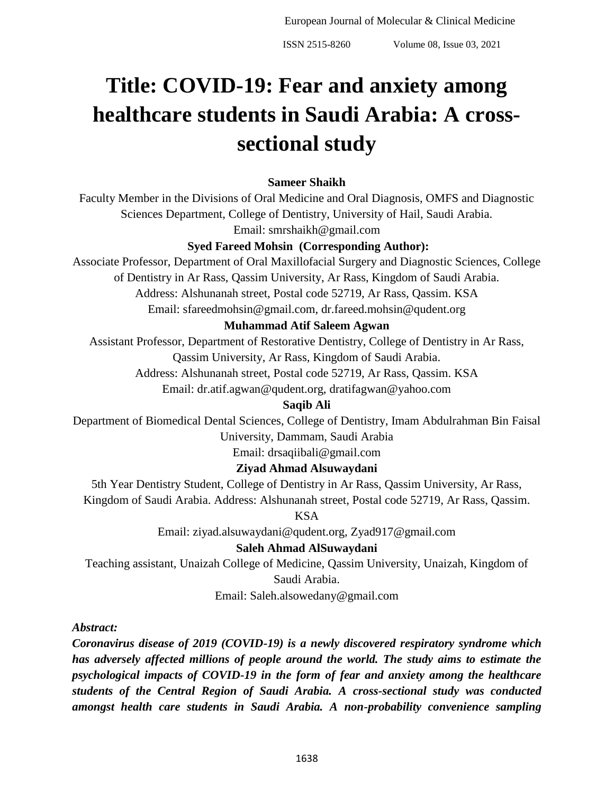# **Title: COVID-19: Fear and anxiety among healthcare students in Saudi Arabia: A crosssectional study**

## **Sameer Shaikh**

Faculty Member in the Divisions of Oral Medicine and Oral Diagnosis, OMFS and Diagnostic Sciences Department, College of Dentistry, University of Hail, Saudi Arabia.

Email: smrshaikh@gmail.com

## **Syed Fareed Mohsin (Corresponding Author):**

Associate Professor, Department of Oral Maxillofacial Surgery and Diagnostic Sciences, College of Dentistry in Ar Rass, Qassim University, Ar Rass, Kingdom of Saudi Arabia. Address: Alshunanah street, Postal code 52719, Ar Rass, Qassim. KSA

Email: sfareedmohsin@gmail.com, dr.fareed.mohsin@qudent.org

#### **Muhammad Atif Saleem Agwan**

Assistant Professor, Department of Restorative Dentistry, College of Dentistry in Ar Rass, Qassim University, Ar Rass, Kingdom of Saudi Arabia.

Address: Alshunanah street, Postal code 52719, Ar Rass, Qassim. KSA

Email: dr.atif.agwan@qudent.org, dratifagwan@yahoo.com

## **Saqib Ali**

Department of Biomedical Dental Sciences, College of Dentistry, Imam Abdulrahman Bin Faisal University, Dammam, Saudi Arabia

Email: drsaqiibali@gmail.com

## **Ziyad Ahmad Alsuwaydani**

5th Year Dentistry Student, College of Dentistry in Ar Rass, Qassim University, Ar Rass, Kingdom of Saudi Arabia. Address: Alshunanah street, Postal code 52719, Ar Rass, Qassim.

KSA

Email: ziyad.alsuwaydani@qudent.org, Zyad917@gmail.com

## **Saleh Ahmad AlSuwaydani**

Teaching assistant, Unaizah College of Medicine, Qassim University, Unaizah, Kingdom of Saudi Arabia.

Email: Saleh.alsowedany@gmail.com

*Abstract:*

*Coronavirus disease of 2019 (COVID-19) is a newly discovered respiratory syndrome which has adversely affected millions of people around the world. The study aims to estimate the psychological impacts of COVID-19 in the form of fear and anxiety among the healthcare students of the Central Region of Saudi Arabia. A cross-sectional study was conducted amongst health care students in Saudi Arabia. A non-probability convenience sampling*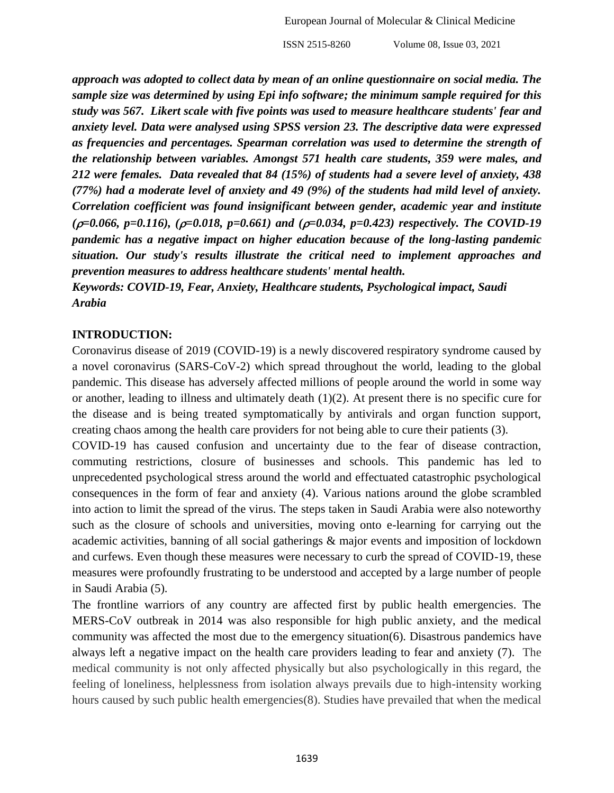*approach was adopted to collect data by mean of an online questionnaire on social media. The sample size was determined by using Epi info software; the minimum sample required for this study was 567. Likert scale with five points was used to measure healthcare students' fear and anxiety level. Data were analysed using SPSS version 23. The descriptive data were expressed as frequencies and percentages. Spearman correlation was used to determine the strength of the relationship between variables. Amongst 571 health care students, 359 were males, and 212 were females. Data revealed that 84 (15%) of students had a severe level of anxiety, 438 (77%) had a moderate level of anxiety and 49 (9%) of the students had mild level of anxiety. Correlation coefficient was found insignificant between gender, academic year and institute (=0.066, p=0.116), (=0.018, p=0.661) and (=0.034, p=0.423) respectively. The COVID-19 pandemic has a negative impact on higher education because of the long-lasting pandemic situation. Our study's results illustrate the critical need to implement approaches and prevention measures to address healthcare students' mental health.*

*Keywords: COVID-19, Fear, Anxiety, Healthcare students, Psychological impact, Saudi Arabia*

#### **INTRODUCTION:**

Coronavirus disease of 2019 (COVID-19) is a newly discovered respiratory syndrome caused by a novel coronavirus (SARS-CoV-2) which spread throughout the world, leading to the global pandemic. This disease has adversely affected millions of people around the world in some way or another, leading to illness and ultimately death (1)(2). At present there is no specific cure for the disease and is being treated symptomatically by antivirals and organ function support, creating chaos among the health care providers for not being able to cure their patients (3).

COVID-19 has caused confusion and uncertainty due to the fear of disease contraction, commuting restrictions, closure of businesses and schools. This pandemic has led to unprecedented psychological stress around the world and effectuated catastrophic psychological consequences in the form of fear and anxiety (4). Various nations around the globe scrambled into action to limit the spread of the virus. The steps taken in Saudi Arabia were also noteworthy such as the closure of schools and universities, moving onto e-learning for carrying out the academic activities, banning of all social gatherings & major events and imposition of lockdown and curfews. Even though these measures were necessary to curb the spread of COVID-19, these measures were profoundly frustrating to be understood and accepted by a large number of people in Saudi Arabia (5).

The frontline warriors of any country are affected first by public health emergencies. The MERS-CoV outbreak in 2014 was also responsible for high public anxiety, and the medical community was affected the most due to the emergency situation(6). Disastrous pandemics have always left a negative impact on the health care providers leading to fear and anxiety (7). The medical community is not only affected physically but also psychologically in this regard, the feeling of loneliness, helplessness from isolation always prevails due to high-intensity working hours caused by such public health emergencies $(8)$ . Studies have prevailed that when the medical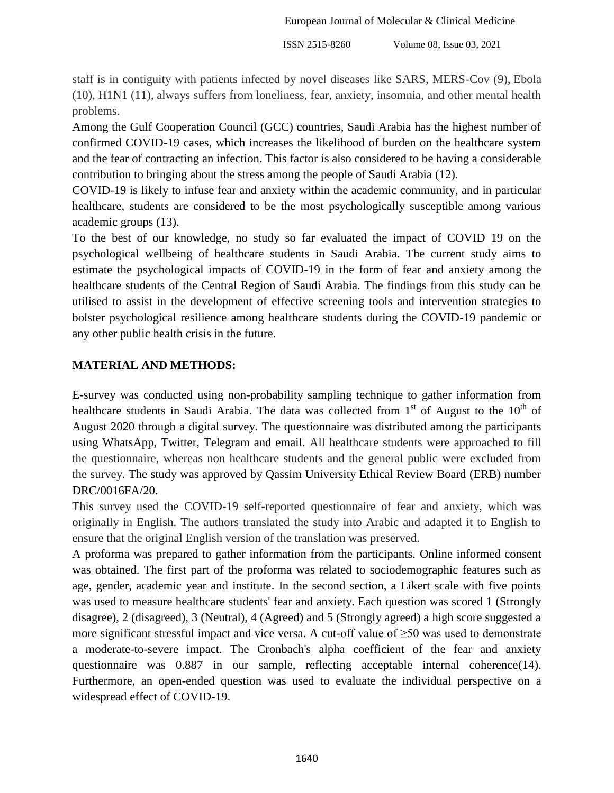staff is in contiguity with patients infected by novel diseases like SARS, MERS-Cov (9), Ebola (10), H1N1 (11), always suffers from loneliness, fear, anxiety, insomnia, and other mental health problems.

Among the Gulf Cooperation Council (GCC) countries, Saudi Arabia has the highest number of confirmed COVID-19 cases, which increases the likelihood of burden on the healthcare system and the fear of contracting an infection. This factor is also considered to be having a considerable contribution to bringing about the stress among the people of Saudi Arabia (12).

COVID-19 is likely to infuse fear and anxiety within the academic community, and in particular healthcare, students are considered to be the most psychologically susceptible among various academic groups (13).

To the best of our knowledge, no study so far evaluated the impact of COVID 19 on the psychological wellbeing of healthcare students in Saudi Arabia. The current study aims to estimate the psychological impacts of COVID-19 in the form of fear and anxiety among the healthcare students of the Central Region of Saudi Arabia. The findings from this study can be utilised to assist in the development of effective screening tools and intervention strategies to bolster psychological resilience among healthcare students during the COVID-19 pandemic or any other public health crisis in the future.

## **MATERIAL AND METHODS:**

E-survey was conducted using non-probability sampling technique to gather information from healthcare students in Saudi Arabia. The data was collected from  $1<sup>st</sup>$  of August to the  $10<sup>th</sup>$  of August 2020 through a digital survey. The questionnaire was distributed among the participants using WhatsApp, Twitter, Telegram and email. All healthcare students were approached to fill the questionnaire, whereas non healthcare students and the general public were excluded from the survey. The study was approved by Qassim University Ethical Review Board (ERB) number DRC/0016FA/20.

This survey used the COVID-19 self-reported questionnaire of fear and anxiety, which was originally in English. The authors translated the study into Arabic and adapted it to English to ensure that the original English version of the translation was preserved.

A proforma was prepared to gather information from the participants. Online informed consent was obtained. The first part of the proforma was related to sociodemographic features such as age, gender, academic year and institute. In the second section, a Likert scale with five points was used to measure healthcare students' fear and anxiety. Each question was scored 1 (Strongly disagree), 2 (disagreed), 3 (Neutral), 4 (Agreed) and 5 (Strongly agreed) a high score suggested a more significant stressful impact and vice versa. A cut-off value of ≥50 was used to demonstrate a moderate-to-severe impact. The Cronbach's alpha coefficient of the fear and anxiety questionnaire was 0.887 in our sample, reflecting acceptable internal coherence(14). Furthermore, an open-ended question was used to evaluate the individual perspective on a widespread effect of COVID-19.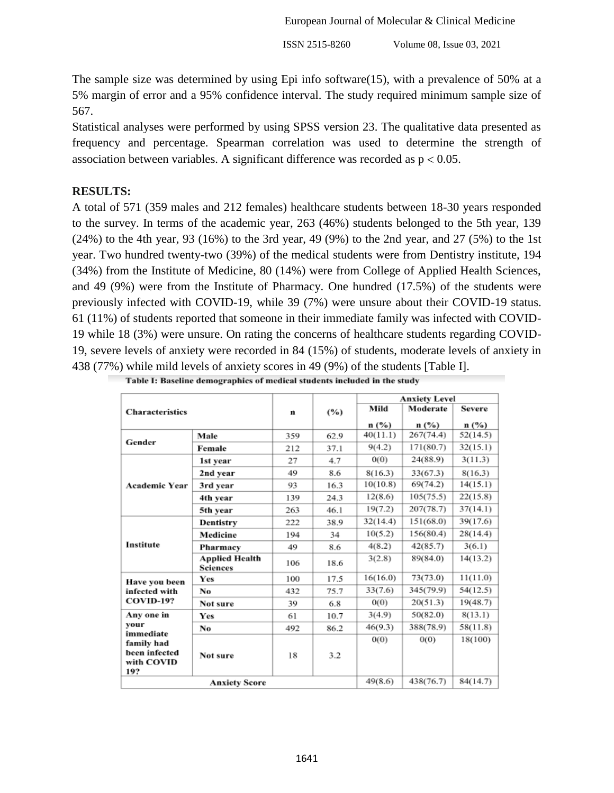The sample size was determined by using Epi info software $(15)$ , with a prevalence of 50% at a 5% margin of error and a 95% confidence interval. The study required minimum sample size of 567.

Statistical analyses were performed by using SPSS version 23. The qualitative data presented as frequency and percentage. Spearman correlation was used to determine the strength of association between variables. A significant difference was recorded as  $p < 0.05$ .

## **RESULTS:**

A total of 571 (359 males and 212 females) healthcare students between 18-30 years responded to the survey. In terms of the academic year, 263 (46%) students belonged to the 5th year, 139 (24%) to the 4th year, 93 (16%) to the 3rd year, 49 (9%) to the 2nd year, and 27 (5%) to the 1st year. Two hundred twenty-two (39%) of the medical students were from Dentistry institute, 194 (34%) from the Institute of Medicine, 80 (14%) were from College of Applied Health Sciences, and 49 (9%) were from the Institute of Pharmacy. One hundred (17.5%) of the students were previously infected with COVID-19, while 39 (7%) were unsure about their COVID-19 status. 61 (11%) of students reported that someone in their immediate family was infected with COVID-19 while 18 (3%) were unsure. On rating the concerns of healthcare students regarding COVID-19, severe levels of anxiety were recorded in 84 (15%) of students, moderate levels of anxiety in 438 (77%) while mild levels of anxiety scores in 49 (9%) of the students [Table I].

| <b>Characteristics</b>                                                              |                                          |     |      | <b>Anxiety Level</b> |           |               |
|-------------------------------------------------------------------------------------|------------------------------------------|-----|------|----------------------|-----------|---------------|
|                                                                                     |                                          | n   | (%)  | Mild                 | Moderate  | <b>Severe</b> |
|                                                                                     |                                          |     |      | n (%)                | n (%)     | n (%)         |
|                                                                                     | Male                                     | 359 | 62.9 | 40(11.1)             | 267(74.4) | 52(14.5)      |
| Gender                                                                              | Female                                   | 212 | 37.1 | 9(4.2)               | 171(80.7) | 32(15.1)      |
|                                                                                     | 1st year                                 | 27  | 4.7  | 0(0)                 | 24(88.9)  | 3(11.3)       |
|                                                                                     | 2nd year                                 | 49  | 8.6  | 8(16.3)              | 33(67.3)  | 8(16.3)       |
| <b>Academic Year</b>                                                                | 3rd year                                 | 93  | 16.3 | 10(10.8)             | 69(74.2)  | 14(15.1)      |
|                                                                                     | 4th year                                 | 139 | 24.3 | 12(8.6)              | 105(75.5) | 22(15.8)      |
|                                                                                     | 5th vear                                 | 263 | 46.1 | 19(7.2)              | 207(78.7) | 37(14.1)      |
| <b>Institute</b>                                                                    | Dentistry                                | 222 | 38.9 | 32(14.4)             | 151(68.0) | 39(17.6)      |
|                                                                                     | Medicine                                 | 194 | 34   | 10(5.2)              | 156(80.4) | 28(14.4)      |
|                                                                                     | Pharmacy                                 | 49  | 8.6  | 4(8.2)               | 42(85.7)  | 3(6.1)        |
|                                                                                     | <b>Applied Health</b><br><b>Sciences</b> | 106 | 18.6 | 3(2.8)               | 89(84.0)  | 14(13.2)      |
| Have you been                                                                       | Yes                                      | 100 | 17.5 | 16(16.0)             | 73(73.0)  | 11(11.0)      |
| infected with<br><b>COVID-19?</b>                                                   | No                                       | 432 | 75.7 | 33(7.6)              | 345(79.9) | 54(12.5)      |
|                                                                                     | Not sure                                 | 39  | 6.8  | 0(0)                 | 20(51.3)  | 19(48.7)      |
| Any one in<br>your<br>immediate<br>family had<br>been infected<br>with COVID<br>19? | Yes                                      | 61  | 10.7 | 3(4.9)               | 50(82.0)  | 8(13.1)       |
|                                                                                     | No                                       | 492 | 86.2 | 46(9.3)              | 388(78.9) | 58(11.8)      |
|                                                                                     |                                          |     |      | 0(0)                 | 0(0)      | 18(100)       |
|                                                                                     | Not sure                                 | 18  | 3.2  |                      |           |               |
| <b>Anxiety Score</b>                                                                |                                          |     |      | 49(8.6)              | 438(76.7) | 84(14.7)      |

|  | Table I: Baseline demographics of medical students included in the study |  |  |
|--|--------------------------------------------------------------------------|--|--|
|  |                                                                          |  |  |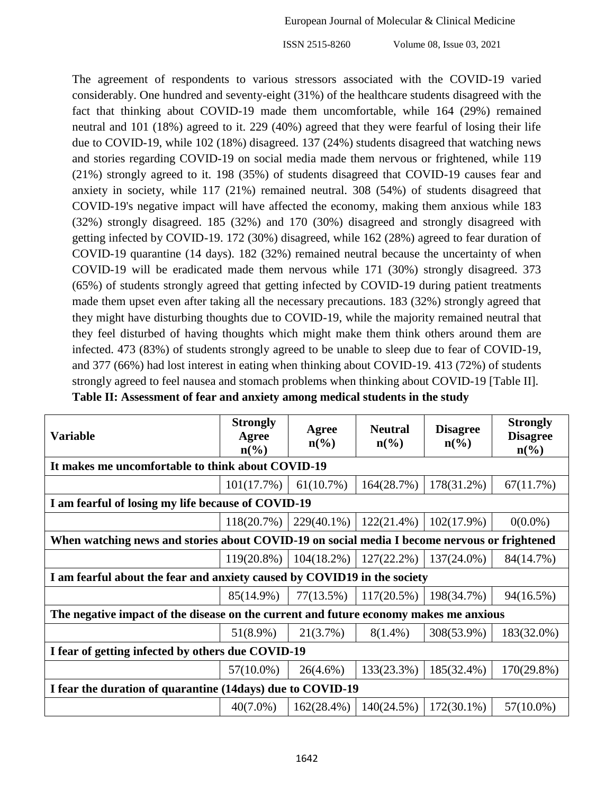The agreement of respondents to various stressors associated with the COVID-19 varied considerably. One hundred and seventy-eight (31%) of the healthcare students disagreed with the fact that thinking about COVID-19 made them uncomfortable, while 164 (29%) remained neutral and 101 (18%) agreed to it. 229 (40%) agreed that they were fearful of losing their life due to COVID-19, while 102 (18%) disagreed. 137 (24%) students disagreed that watching news and stories regarding COVID-19 on social media made them nervous or frightened, while 119 (21%) strongly agreed to it. 198 (35%) of students disagreed that COVID-19 causes fear and anxiety in society, while 117 (21%) remained neutral. 308 (54%) of students disagreed that COVID-19's negative impact will have affected the economy, making them anxious while 183 (32%) strongly disagreed. 185 (32%) and 170 (30%) disagreed and strongly disagreed with getting infected by COVID-19. 172 (30%) disagreed, while 162 (28%) agreed to fear duration of COVID-19 quarantine (14 days). 182 (32%) remained neutral because the uncertainty of when COVID-19 will be eradicated made them nervous while 171 (30%) strongly disagreed. 373 (65%) of students strongly agreed that getting infected by COVID-19 during patient treatments made them upset even after taking all the necessary precautions. 183 (32%) strongly agreed that they might have disturbing thoughts due to COVID-19, while the majority remained neutral that they feel disturbed of having thoughts which might make them think others around them are infected. 473 (83%) of students strongly agreed to be unable to sleep due to fear of COVID-19, and 377 (66%) had lost interest in eating when thinking about COVID-19. 413 (72%) of students strongly agreed to feel nausea and stomach problems when thinking about COVID-19 [Table II]. **Table II: Assessment of fear and anxiety among medical students in the study**

| <b>Variable</b>                                                                              | <b>Strongly</b><br>Agree<br>$n\left(\frac{0}{0}\right)$ | Agree<br>$n\left(\frac{6}{6}\right)$ | <b>Neutral</b><br>$n\left(\frac{6}{6}\right)$ | <b>Disagree</b><br>$n\left(\frac{6}{6}\right)$ | <b>Strongly</b><br><b>Disagree</b><br>$n\left(\frac{0}{0}\right)$ |  |  |
|----------------------------------------------------------------------------------------------|---------------------------------------------------------|--------------------------------------|-----------------------------------------------|------------------------------------------------|-------------------------------------------------------------------|--|--|
| It makes me uncomfortable to think about COVID-19                                            |                                                         |                                      |                                               |                                                |                                                                   |  |  |
|                                                                                              | 101(17.7%)                                              | 61(10.7%)                            | 164(28.7%)                                    | 178(31.2%)                                     | 67(11.7%)                                                         |  |  |
| I am fearful of losing my life because of COVID-19                                           |                                                         |                                      |                                               |                                                |                                                                   |  |  |
|                                                                                              | 118(20.7%)                                              | 229(40.1%)                           | $122(21.4\%)$                                 | $102(17.9\%)$                                  | $0(0.0\%)$                                                        |  |  |
| When watching news and stories about COVID-19 on social media I become nervous or frightened |                                                         |                                      |                                               |                                                |                                                                   |  |  |
|                                                                                              | $119(20.8\%)$                                           | $104(18.2\%)$                        | $127(22.2\%)$                                 | 137(24.0%)                                     | 84(14.7%)                                                         |  |  |
| I am fearful about the fear and anxiety caused by COVID19 in the society                     |                                                         |                                      |                                               |                                                |                                                                   |  |  |
|                                                                                              | 85(14.9%)                                               | 77(13.5%)                            | $117(20.5\%)$                                 | 198(34.7%)                                     | 94(16.5%)                                                         |  |  |
| The negative impact of the disease on the current and future economy makes me anxious        |                                                         |                                      |                                               |                                                |                                                                   |  |  |
|                                                                                              | $51(8.9\%)$                                             | 21(3.7%)                             | $8(1.4\%)$                                    | 308(53.9%)                                     | 183(32.0%)                                                        |  |  |
| I fear of getting infected by others due COVID-19                                            |                                                         |                                      |                                               |                                                |                                                                   |  |  |
|                                                                                              | $57(10.0\%)$                                            | $26(4.6\%)$                          | 133(23.3%)                                    | 185(32.4%)                                     | 170(29.8%)                                                        |  |  |
| I fear the duration of quarantine (14days) due to COVID-19                                   |                                                         |                                      |                                               |                                                |                                                                   |  |  |
|                                                                                              | $40(7.0\%)$                                             | $162(28.4\%)$                        | 140(24.5%)                                    | $172(30.1\%)$                                  | $57(10.0\%)$                                                      |  |  |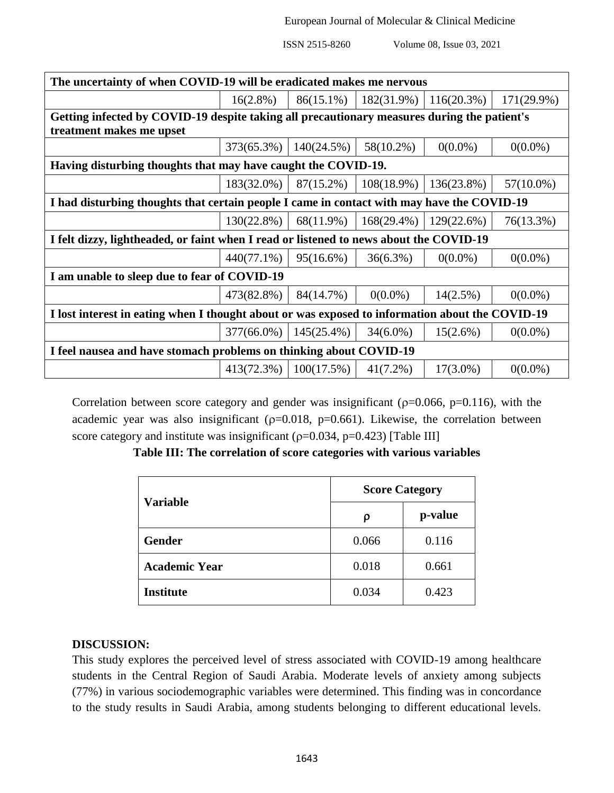| The uncertainty of when COVID-19 will be eradicated makes me nervous                            |               |                               |               |               |               |  |
|-------------------------------------------------------------------------------------------------|---------------|-------------------------------|---------------|---------------|---------------|--|
|                                                                                                 | $16(2.8\%)$   | 86(15.1%)                     | $182(31.9\%)$ | $116(20.3\%)$ | $171(29.9\%)$ |  |
| Getting infected by COVID-19 despite taking all precautionary measures during the patient's     |               |                               |               |               |               |  |
| treatment makes me upset                                                                        |               |                               |               |               |               |  |
|                                                                                                 | $373(65.3\%)$ | $140(24.5\%)$                 | 58(10.2%)     | $0(0.0\%)$    | $0(0.0\%)$    |  |
| Having disturbing thoughts that may have caught the COVID-19.                                   |               |                               |               |               |               |  |
|                                                                                                 | $183(32.0\%)$ | 87(15.2%)                     | $108(18.9\%)$ | 136(23.8%)    | $57(10.0\%)$  |  |
| I had disturbing thoughts that certain people I came in contact with may have the COVID-19      |               |                               |               |               |               |  |
|                                                                                                 | $130(22.8\%)$ | 68(11.9%)                     | $168(29.4\%)$ | 129(22.6%)    | 76(13.3%)     |  |
| I felt dizzy, lightheaded, or faint when I read or listened to news about the COVID-19          |               |                               |               |               |               |  |
|                                                                                                 | $440(77.1\%)$ | 95(16.6%)                     | $36(6.3\%)$   | $0(0.0\%)$    | $0(0.0\%)$    |  |
| I am unable to sleep due to fear of COVID-19                                                    |               |                               |               |               |               |  |
|                                                                                                 | 473(82.8%)    | 84(14.7%)                     | $0(0.0\%)$    | $14(2.5\%)$   | $0(0.0\%)$    |  |
| I lost interest in eating when I thought about or was exposed to information about the COVID-19 |               |                               |               |               |               |  |
|                                                                                                 |               | $377(66.0\%)$   145(25.4%)    | $34(6.0\%)$   | 15(2.6%)      | $0(0.0\%)$    |  |
| I feel nausea and have stomach problems on thinking about COVID-19                              |               |                               |               |               |               |  |
|                                                                                                 |               | $413(72.3\%)$   $100(17.5\%)$ | $41(7.2\%)$   | $17(3.0\%)$   | $0(0.0\%)$    |  |

Correlation between score category and gender was insignificant ( $p=0.066$ ,  $p=0.116$ ), with the academic year was also insignificant ( $p=0.018$ ,  $p=0.661$ ). Likewise, the correlation between score category and institute was insignificant ( $p=0.034$ ,  $p=0.423$ ) [Table III]

| Table III: The correlation of score categories with various variables |  |  |  |
|-----------------------------------------------------------------------|--|--|--|
|                                                                       |  |  |  |

| <b>Variable</b>      | <b>Score Category</b> |         |  |  |
|----------------------|-----------------------|---------|--|--|
|                      | ρ                     | p-value |  |  |
| <b>Gender</b>        | 0.066                 | 0.116   |  |  |
| <b>Academic Year</b> | 0.018                 | 0.661   |  |  |
| <b>Institute</b>     | 0.034                 | 0.423   |  |  |

## **DISCUSSION:**

This study explores the perceived level of stress associated with COVID-19 among healthcare students in the Central Region of Saudi Arabia. Moderate levels of anxiety among subjects (77%) in various sociodemographic variables were determined. This finding was in concordance to the study results in Saudi Arabia, among students belonging to different educational levels.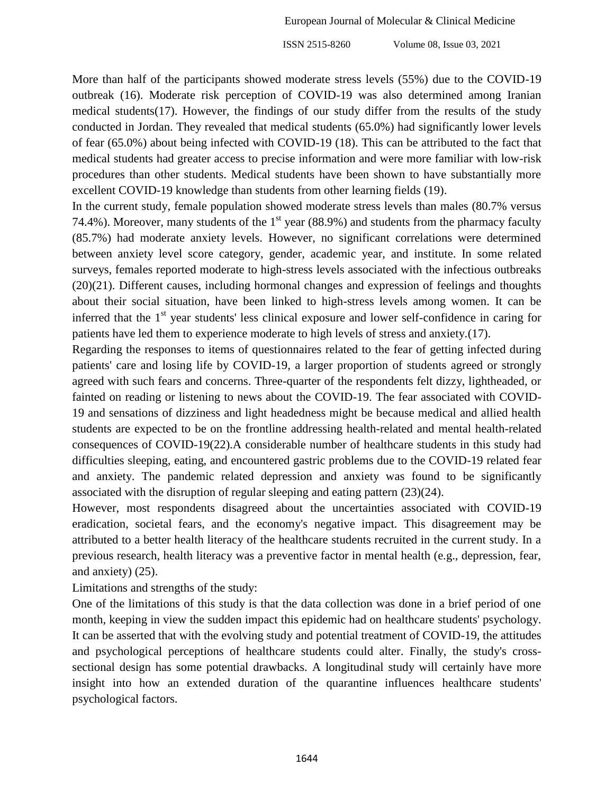More than half of the participants showed moderate stress levels (55%) due to the COVID-19 outbreak (16). Moderate risk perception of COVID-19 was also determined among Iranian medical students(17). However, the findings of our study differ from the results of the study conducted in Jordan. They revealed that medical students (65.0%) had significantly lower levels of fear (65.0%) about being infected with COVID-19 (18). This can be attributed to the fact that medical students had greater access to precise information and were more familiar with low-risk procedures than other students. Medical students have been shown to have substantially more excellent COVID-19 knowledge than students from other learning fields (19).

In the current study, female population showed moderate stress levels than males (80.7% versus 74.4%). Moreover, many students of the  $1<sup>st</sup>$  year (88.9%) and students from the pharmacy faculty (85.7%) had moderate anxiety levels. However, no significant correlations were determined between anxiety level score category, gender, academic year, and institute. In some related surveys, females reported moderate to high-stress levels associated with the infectious outbreaks (20)(21). Different causes, including hormonal changes and expression of feelings and thoughts about their social situation, have been linked to high-stress levels among women. It can be inferred that the  $1<sup>st</sup>$  year students' less clinical exposure and lower self-confidence in caring for patients have led them to experience moderate to high levels of stress and anxiety.(17).

Regarding the responses to items of questionnaires related to the fear of getting infected during patients' care and losing life by COVID-19, a larger proportion of students agreed or strongly agreed with such fears and concerns. Three-quarter of the respondents felt dizzy, lightheaded, or fainted on reading or listening to news about the COVID-19. The fear associated with COVID-19 and sensations of dizziness and light headedness might be because medical and allied health students are expected to be on the frontline addressing health-related and mental health-related consequences of COVID-19(22).A considerable number of healthcare students in this study had difficulties sleeping, eating, and encountered gastric problems due to the COVID-19 related fear and anxiety. The pandemic related depression and anxiety was found to be significantly associated with the disruption of regular sleeping and eating pattern (23)(24).

However, most respondents disagreed about the uncertainties associated with COVID-19 eradication, societal fears, and the economy's negative impact. This disagreement may be attributed to a better health literacy of the healthcare students recruited in the current study. In a previous research, health literacy was a preventive factor in mental health (e.g., depression, fear, and anxiety) (25).

Limitations and strengths of the study:

One of the limitations of this study is that the data collection was done in a brief period of one month, keeping in view the sudden impact this epidemic had on healthcare students' psychology. It can be asserted that with the evolving study and potential treatment of COVID-19, the attitudes and psychological perceptions of healthcare students could alter. Finally, the study's crosssectional design has some potential drawbacks. A longitudinal study will certainly have more insight into how an extended duration of the quarantine influences healthcare students' psychological factors.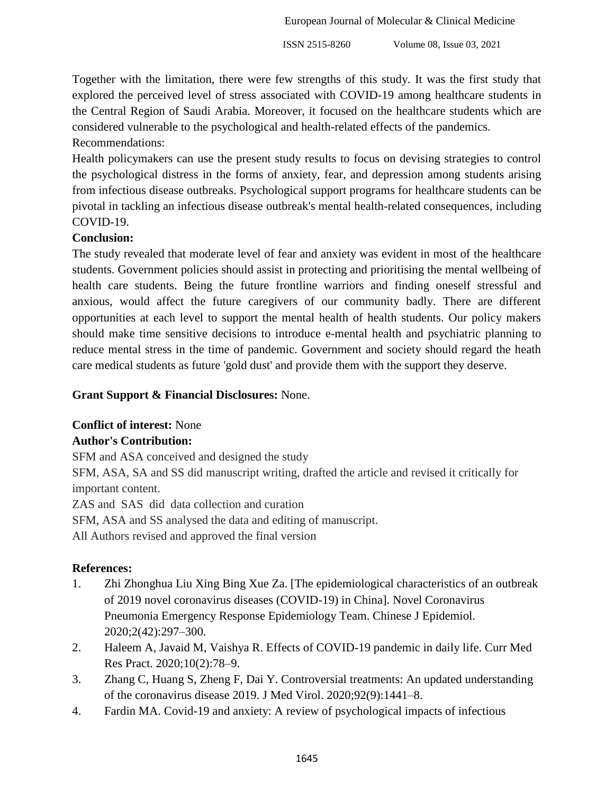Together with the limitation, there were few strengths of this study. It was the first study that explored the perceived level of stress associated with COVID-19 among healthcare students in the Central Region of Saudi Arabia. Moreover, it focused on the healthcare students which are considered vulnerable to the psychological and health-related effects of the pandemics.

# Recommendations:

Health policymakers can use the present study results to focus on devising strategies to control the psychological distress in the forms of anxiety, fear, and depression among students arising from infectious disease outbreaks. Psychological support programs for healthcare students can be pivotal in tackling an infectious disease outbreak's mental health-related consequences, including COVID-19.

# **Conclusion:**

The study revealed that moderate level of fear and anxiety was evident in most of the healthcare students. Government policies should assist in protecting and prioritising the mental wellbeing of health care students. Being the future frontline warriors and finding oneself stressful and anxious, would affect the future caregivers of our community badly. There are different opportunities at each level to support the mental health of health students. Our policy makers should make time sensitive decisions to introduce e-mental health and psychiatric planning to reduce mental stress in the time of pandemic. Government and society should regard the heath care medical students as future 'gold dust' and provide them with the support they deserve.

# **Grant Support & Financial Disclosures:** None.

# **Conflict of interest:** None

# **Author's Contribution:**

SFM and ASA conceived and designed the study

SFM, ASA, SA and SS did manuscript writing, drafted the article and revised it critically for important content.

ZAS and SAS did data collection and curation

SFM, ASA and SS analysed the data and editing of manuscript.

All Authors revised and approved the final version

# **References:**

- 1. Zhi Zhonghua Liu Xing Bing Xue Za. [The epidemiological characteristics of an outbreak of 2019 novel coronavirus diseases (COVID-19) in China]. Novel Coronavirus Pneumonia Emergency Response Epidemiology Team. Chinese J Epidemiol. 2020;2(42):297–300.
- 2. Haleem A, Javaid M, Vaishya R. Effects of COVID-19 pandemic in daily life. Curr Med Res Pract. 2020;10(2):78–9.
- 3. Zhang C, Huang S, Zheng F, Dai Y. Controversial treatments: An updated understanding of the coronavirus disease 2019. J Med Virol. 2020;92(9):1441–8.
- 4. Fardin MA. Covid-19 and anxiety: A review of psychological impacts of infectious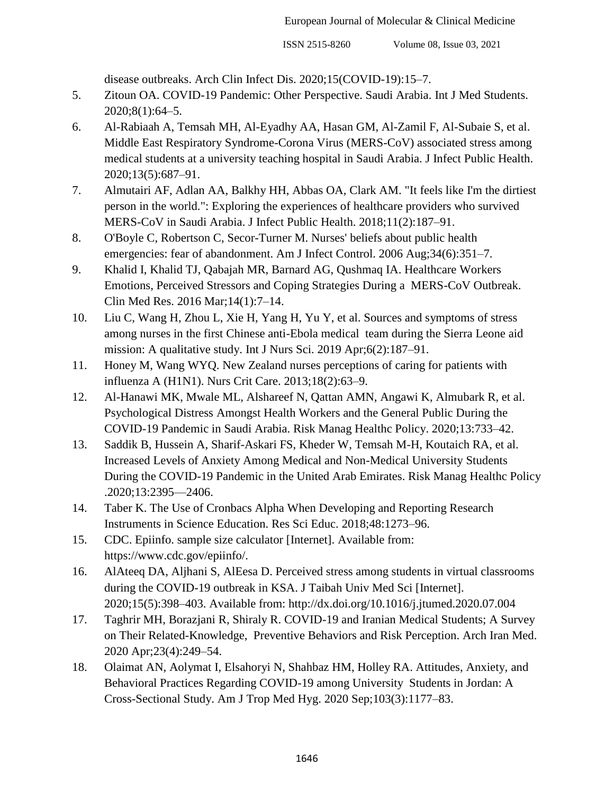disease outbreaks. Arch Clin Infect Dis. 2020;15(COVID-19):15–7.

- 5. Zitoun OA. COVID-19 Pandemic: Other Perspective. Saudi Arabia. Int J Med Students. 2020;8(1):64–5.
- 6. Al-Rabiaah A, Temsah MH, Al-Eyadhy AA, Hasan GM, Al-Zamil F, Al-Subaie S, et al. Middle East Respiratory Syndrome-Corona Virus (MERS-CoV) associated stress among medical students at a university teaching hospital in Saudi Arabia. J Infect Public Health. 2020;13(5):687–91.
- 7. Almutairi AF, Adlan AA, Balkhy HH, Abbas OA, Clark AM. "It feels like I'm the dirtiest person in the world.": Exploring the experiences of healthcare providers who survived MERS-CoV in Saudi Arabia. J Infect Public Health. 2018;11(2):187–91.
- 8. O'Boyle C, Robertson C, Secor-Turner M. Nurses' beliefs about public health emergencies: fear of abandonment. Am J Infect Control. 2006 Aug: 34(6): 351–7.
- 9. Khalid I, Khalid TJ, Qabajah MR, Barnard AG, Qushmaq IA. Healthcare Workers Emotions, Perceived Stressors and Coping Strategies During a MERS-CoV Outbreak. Clin Med Res. 2016 Mar;14(1):7–14.
- 10. Liu C, Wang H, Zhou L, Xie H, Yang H, Yu Y, et al. Sources and symptoms of stress among nurses in the first Chinese anti-Ebola medical team during the Sierra Leone aid mission: A qualitative study. Int J Nurs Sci. 2019 Apr;6(2):187–91.
- 11. Honey M, Wang WYQ. New Zealand nurses perceptions of caring for patients with influenza A (H1N1). Nurs Crit Care. 2013;18(2):63–9.
- 12. Al-Hanawi MK, Mwale ML, Alshareef N, Qattan AMN, Angawi K, Almubark R, et al. Psychological Distress Amongst Health Workers and the General Public During the COVID-19 Pandemic in Saudi Arabia. Risk Manag Healthc Policy. 2020;13:733–42.
- 13. Saddik B, Hussein A, Sharif-Askari FS, Kheder W, Temsah M-H, Koutaich RA, et al. Increased Levels of Anxiety Among Medical and Non-Medical University Students During the COVID-19 Pandemic in the United Arab Emirates. Risk Manag Healthc Policy .2020;13:2395—2406.
- 14. Taber K. The Use of Cronbacs Alpha When Developing and Reporting Research Instruments in Science Education. Res Sci Educ. 2018;48:1273–96.
- 15. CDC. Epiinfo. sample size calculator [Internet]. Available from: https://www.cdc.gov/epiinfo/.
- 16. AlAteeq DA, Aljhani S, AlEesa D. Perceived stress among students in virtual classrooms during the COVID-19 outbreak in KSA. J Taibah Univ Med Sci [Internet]. 2020;15(5):398–403. Available from: http://dx.doi.org/10.1016/j.jtumed.2020.07.004
- 17. Taghrir MH, Borazjani R, Shiraly R. COVID-19 and Iranian Medical Students; A Survey on Their Related-Knowledge, Preventive Behaviors and Risk Perception. Arch Iran Med. 2020 Apr;23(4):249–54.
- 18. Olaimat AN, Aolymat I, Elsahoryi N, Shahbaz HM, Holley RA. Attitudes, Anxiety, and Behavioral Practices Regarding COVID-19 among University Students in Jordan: A Cross-Sectional Study. Am J Trop Med Hyg. 2020 Sep;103(3):1177–83.